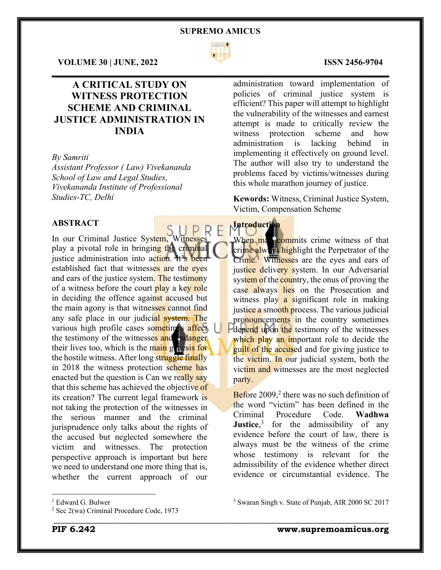

### **VOLUME 30 | JUNE, 2022 ISSN 2456-9704**

# **A CRITICAL STUDY ON WITNESS PROTECTION SCHEME AND CRIMINAL JUSTICE ADMINISTRATION IN INDIA**

#### *By Samriti*

*Assistant Professor ( Law) Vivekananda School of Law and Legal Studies, Vivekananda Institute of Professional Studies-TC, Delhi*

# **ABSTRACT**

In our Criminal Justice System, Witnesses play a pivotal role in bringing the criminal justice administration into action. It's been established fact that witnesses are the eyes and ears of the justice system. The testimony of a witness before the court play a key role in deciding the offence against accused but the main agony is that witnesses cannot find any safe place in our judicial system. The various high profile cases sometimes affect the testimony of the witnesses and endanger their lives too, which is the main genesis for the hostile witness. After long struggle finally in 2018 the witness protection scheme has enacted but the question is Can we really say that this scheme has achieved the objective of its creation? The current legal framework is not taking the protection of the witnesses in the serious manner and the criminal jurisprudence only talks about the rights of the accused but neglected somewhere the victim and witnesses. The protection perspective approach is important but here we need to understand one more thing that is, whether the current approach of our

 $\mathcal{L}_\mathcal{L} = \mathcal{L}_\mathcal{L} = \mathcal{L}_\mathcal{L} = \mathcal{L}_\mathcal{L} = \mathcal{L}_\mathcal{L} = \mathcal{L}_\mathcal{L} = \mathcal{L}_\mathcal{L} = \mathcal{L}_\mathcal{L} = \mathcal{L}_\mathcal{L} = \mathcal{L}_\mathcal{L} = \mathcal{L}_\mathcal{L} = \mathcal{L}_\mathcal{L} = \mathcal{L}_\mathcal{L} = \mathcal{L}_\mathcal{L} = \mathcal{L}_\mathcal{L} = \mathcal{L}_\mathcal{L} = \mathcal{L}_\mathcal{L}$ administration toward implementation of policies of criminal justice system is efficient? This paper will attempt to highlight the vulnerability of the witnesses and earnest attempt is made to critically review the witness protection scheme and how administration is lacking behind in implementing it effectively on ground level. The author will also try to understand the problems faced by victims/witnesses during this whole marathon journey of justice.

> **Kewords:** Witness, Criminal Justice System, Victim, Compensation Scheme

**Introduction**

When man commits crime witness of that crime always highlight the Perpetrator of the Crime.<sup>1</sup> Witnesses are the eyes and ears of justice delivery system. In our Adversarial system of the country, the onus of proving the case always lies on the Prosecution and witness play a significant role in making justice a smooth process. The various judicial pronouncements in the country sometimes depend upon the testimony of the witnesses which play an important role to decide the guilt of the accused and for giving justice to the victim. In our judicial system, both the victim and witnesses are the most neglected party.

Before  $2009<sub>1</sub><sup>2</sup>$  there was no such definition of the word "victim" has been defined in the Criminal Procedure Code. **Wadhwa Justice**,<sup>3</sup> for the admissibility of any evidence before the court of law, there is always must be the witness of the crime whose testimony is relevant for the admissibility of the evidence whether direct evidence or circumstantial evidence. The

<sup>3</sup> Swaran Singh v. State of Punjab, AIR 2000 SC 2017

<sup>&</sup>lt;sup>1</sup> Edward G. Bulwer

<sup>2</sup> Sec 2(wa) Criminal Procedure Code, 1973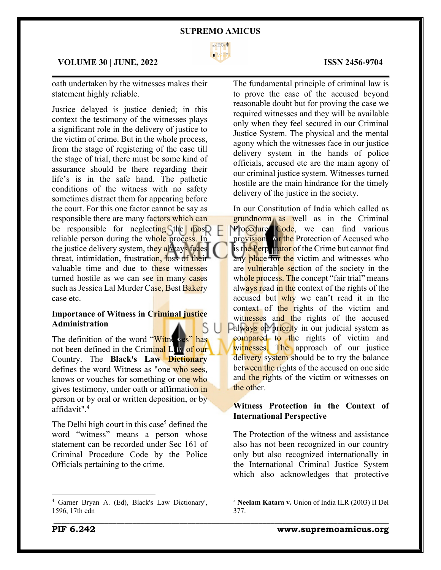

 $\mathcal{L}_\mathcal{L} = \mathcal{L}_\mathcal{L} = \mathcal{L}_\mathcal{L} = \mathcal{L}_\mathcal{L} = \mathcal{L}_\mathcal{L} = \mathcal{L}_\mathcal{L} = \mathcal{L}_\mathcal{L} = \mathcal{L}_\mathcal{L} = \mathcal{L}_\mathcal{L} = \mathcal{L}_\mathcal{L} = \mathcal{L}_\mathcal{L} = \mathcal{L}_\mathcal{L} = \mathcal{L}_\mathcal{L} = \mathcal{L}_\mathcal{L} = \mathcal{L}_\mathcal{L} = \mathcal{L}_\mathcal{L} = \mathcal{L}_\mathcal{L}$ 

\_\_\_\_\_\_\_\_\_\_\_\_\_\_\_\_\_\_\_\_\_\_\_\_\_\_\_\_\_\_\_\_\_\_\_\_\_\_\_\_\_\_\_\_\_\_\_\_\_\_\_\_\_\_\_\_\_\_\_\_\_\_\_\_\_\_\_\_\_\_\_\_\_\_\_\_\_\_\_\_\_\_\_\_\_

### **VOLUME 30 | JUNE, 2022 ISSN 2456-9704**

oath undertaken by the witnesses makes their statement highly reliable.

Justice delayed is justice denied; in this context the testimony of the witnesses plays a significant role in the delivery of justice to the victim of crime. But in the whole process, from the stage of registering of the case till the stage of trial, there must be some kind of assurance should be there regarding their life's is in the safe hand. The pathetic conditions of the witness with no safety sometimes distract them for appearing before the court. For this one factor cannot be say as responsible there are many factors which can be responsible for neglecting the most reliable person during the whole process. In the justice delivery system, they always faces threat, intimidation, frustration, loss of their valuable time and due to these witnesses turned hostile as we can see in many cases such as Jessica Lal Murder Case, Best Bakery case etc.

## **Importance of Witness in Criminal justice Administration**

The definition of the word "Witness" has not been defined in the Criminal Law of our Country. The **Black's Law Dictionary**  defines the word Witness as "one who sees. knows or vouches for something or one who gives testimony, under oath or affirmation in person or by oral or written deposition, or by affidavit".4

The Delhi high court in this case<sup>5</sup> defined the word "witness" means a person whose statement can be recorded under Sec 161 of Criminal Procedure Code by the Police Officials pertaining to the crime.

The fundamental principle of criminal law is to prove the case of the accused beyond reasonable doubt but for proving the case we required witnesses and they will be available only when they feel secured in our Criminal Justice System. The physical and the mental agony which the witnesses face in our justice delivery system in the hands of police officials, accused etc are the main agony of our criminal justice system. Witnesses turned hostile are the main hindrance for the timely delivery of the justice in the society.

In our Constitution of India which called as grundnorm as well as in the Criminal Procedure Code, we can find various provision for the Protection of Accused who is the Perpetrator of the Crime but cannot find any place for the victim and witnesses who are vulnerable section of the society in the whole process. The concept "fair trial" means always read in the context of the rights of the accused but why we can't read it in the context of the rights of the victim and witnesses and the rights of the accused Palways on priority in our judicial system as compared to the rights of victim and witnesses. The approach of our justice delivery system should be to try the balance between the rights of the accused on one side and the rights of the victim or witnesses on the other.

# **Witness Protection in the Context of International Perspective**

The Protection of the witness and assistance also has not been recognized in our country only but also recognized internationally in the International Criminal Justice System which also acknowledges that protective

**PIF 6.242 www.supremoamicus.org**

<sup>4</sup> Garner Bryan A. (Ed), Black's Law Dictionary', 1596, 17th edn

<sup>5</sup> **Neelam Katara v.** Union of India ILR (2003) II Del 377.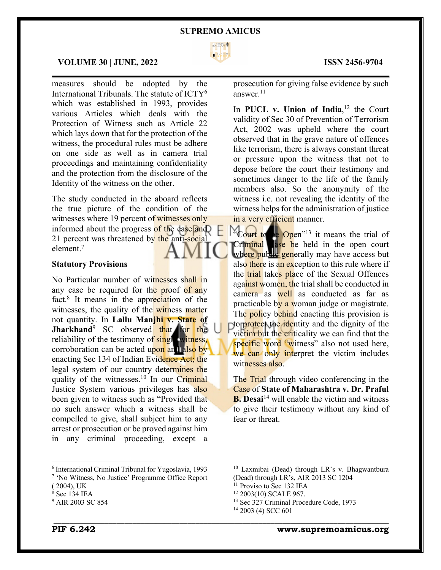

 $\mathcal{L}_\mathcal{L} = \mathcal{L}_\mathcal{L} = \mathcal{L}_\mathcal{L} = \mathcal{L}_\mathcal{L} = \mathcal{L}_\mathcal{L} = \mathcal{L}_\mathcal{L} = \mathcal{L}_\mathcal{L} = \mathcal{L}_\mathcal{L} = \mathcal{L}_\mathcal{L} = \mathcal{L}_\mathcal{L} = \mathcal{L}_\mathcal{L} = \mathcal{L}_\mathcal{L} = \mathcal{L}_\mathcal{L} = \mathcal{L}_\mathcal{L} = \mathcal{L}_\mathcal{L} = \mathcal{L}_\mathcal{L} = \mathcal{L}_\mathcal{L}$ 

#### **VOLUME 30 | JUNE, 2022 ISSN 2456-9704**

measures should be adopted by the International Tribunals. The statute of ICTY6 which was established in 1993, provides various Articles which deals with the Protection of Witness such as Article 22 which lays down that for the protection of the witness, the procedural rules must be adhere on one side as well as in camera trial proceedings and maintaining confidentiality and the protection from the disclosure of the Identity of the witness on the other.

The study conducted in the aboard reflects the true picture of the condition of the witnesses where 19 percent of witnesses only informed about the progress of the case and 21 percent was threatened by the anti-social element.7

## **Statutory Provisions**

No Particular number of witnesses shall in any case be required for the proof of any fact.8 It means in the appreciation of the witnesses, the quality of the witness matter not quantity. In **Lallu Manjhi v. State of Jharkhand**<sup>9</sup> SC observed that for the reliability of the testimony of single witness, corroboration can be acted upon and also by enacting Sec 134 of Indian Evidence Act; the legal system of our country determines the quality of the witnesses.<sup>10</sup> In our Criminal Justice System various privileges has also been given to witness such as "Provided that no such answer which a witness shall be compelled to give, shall subject him to any arrest or prosecution or be proved against him in any criminal proceeding, except a

<sup>6</sup> International Criminal Tribunal for Yugoslavia, 1993

prosecution for giving false evidence by such answer.11

In **PUCL v. Union of India**, <sup>12</sup> the Court validity of Sec 30 of Prevention of Terrorism Act, 2002 was upheld where the court observed that in the grave nature of offences like terrorism, there is always constant threat or pressure upon the witness that not to depose before the court their testimony and sometimes danger to the life of the family members also. So the anonymity of the witness i.e. not revealing the identity of the witness helps for the administration of justice in a very efficient manner.

<sup>22</sup>Court to be Open<sup>13</sup> it means the trial of Criminal ase be held in the open court where public generally may have access but also there is an exception to this rule where if the trial takes place of the Sexual Offences against women, the trial shall be conducted in camera as well as conducted as far as practicable by a woman judge or magistrate. The policy behind enacting this provision is to protect the *identity* and the dignity of the victim but the criticality we can find that the specific word "witness" also not used here, we can only interpret the victim includes witnesses also.

The Trial through video conferencing in the Case of **State of Maharashtra v. Dr. Praful B.** Desai<sup>14</sup> will enable the victim and witness to give their testimony without any kind of fear or threat.

<sup>13</sup> Sec 327 Criminal Procedure Code, 1973

\_\_\_\_\_\_\_\_\_\_\_\_\_\_\_\_\_\_\_\_\_\_\_\_\_\_\_\_\_\_\_\_\_\_\_\_\_\_\_\_\_\_\_\_\_\_\_\_\_\_\_\_\_\_\_\_\_\_\_\_\_\_\_\_\_\_\_\_\_\_\_\_\_\_\_\_\_\_\_\_\_\_\_\_\_

<sup>7</sup> 'No Witness, No Justice' Programme Office Report

<sup>( 2004),</sup> UK

<sup>8</sup> Sec 134 IEA

<sup>&</sup>lt;sup>9</sup> AIR 2003 SC 854

<sup>10</sup> Laxmibai (Dead) through LR's v. Bhagwantbura (Dead) through LR's, AIR 2013 SC 1204

<sup>&</sup>lt;sup>11</sup> Proviso to Sec 132 IEA

<sup>12</sup> 2003(10) SCALE 967.

<sup>&</sup>lt;sup>14</sup> 2003 (4) SCC 601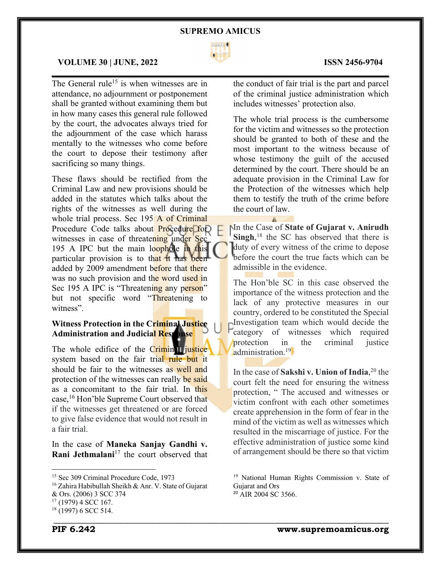

 $\mathcal{L}_\mathcal{L} = \mathcal{L}_\mathcal{L} = \mathcal{L}_\mathcal{L} = \mathcal{L}_\mathcal{L} = \mathcal{L}_\mathcal{L} = \mathcal{L}_\mathcal{L} = \mathcal{L}_\mathcal{L} = \mathcal{L}_\mathcal{L} = \mathcal{L}_\mathcal{L} = \mathcal{L}_\mathcal{L} = \mathcal{L}_\mathcal{L} = \mathcal{L}_\mathcal{L} = \mathcal{L}_\mathcal{L} = \mathcal{L}_\mathcal{L} = \mathcal{L}_\mathcal{L} = \mathcal{L}_\mathcal{L} = \mathcal{L}_\mathcal{L}$ 

#### **VOLUME 30 | JUNE, 2022 ISSN 2456-9704**

The General rule<sup>15</sup> is when witnesses are in attendance, no adjournment or postponement shall be granted without examining them but in how many cases this general rule followed by the court, the advocates always tried for the adjournment of the case which harass mentally to the witnesses who come before the court to depose their testimony after sacrificing so many things.

These flaws should be rectified from the Criminal Law and new provisions should be added in the statutes which talks about the rights of the witnesses as well during the whole trial process. Sec 195 A of Criminal Procedure Code talks about **Procedure** for witnesses in case of threatening under Sec 195 A IPC but the main loophole in this particular provision is to that it has been added by 2009 amendment before that there was no such provision and the word used in Sec 195 A IPC is "Threatening any person" but not specific word "Threatening to witness".

# **Witness Protection in the Criminal Justice Administration and Judicial Response**

The whole edifice of the Criminal justice system based on the fair trial rule but it should be fair to the witnesses as well and protection of the witnesses can really be said as a concomitant to the fair trial. In this case,<sup>16</sup> Hon'ble Supreme Court observed that if the witnesses get threatened or are forced to give false evidence that would not result in a fair trial.

In the case of **Maneka Sanjay Gandhi v. Rani Jethmalani**<sup>17</sup> the court observed that

the conduct of fair trial is the part and parcel of the criminal justice administration which includes witnesses' protection also.

The whole trial process is the cumbersome for the victim and witnesses so the protection should be granted to both of these and the most important to the witness because of whose testimony the guilt of the accused determined by the court. There should be an adequate provision in the Criminal Law for the Protection of the witnesses which help them to testify the truth of the crime before the court of law.

In the Case of **State of Gujarat v. Anirudh**  Singh,<sup>18</sup> the SC has observed that there is duty of every witness of the crime to depose before the court the true facts which can be admissible in the evidence.

The Hon'ble SC in this case observed the importance of the witness protection and the lack of any protective measures in our country, ordered to be constituted the Special Investigation team which would decide the category of witnesses which required protection in the criminal justice administration.<sup>19</sup>

In the case of **Sakshi v. Union of India**, <sup>20</sup> the court felt the need for ensuring the witness protection, " The accused and witnesses or victim confront with each other sometimes create apprehension in the form of fear in the mind of the victim as well as witnesses which resulted in the miscarriage of justice. For the effective administration of justice some kind of arrangement should be there so that victim

<sup>&</sup>lt;sup>15</sup> Sec 309 Criminal Procedure Code, 1973

<sup>16</sup> Zahira Habibullah Sheikh & Anr. V. State of Gujarat

<sup>&</sup>amp; Ors. (2006) 3 SCC 374

 $17$  (1979) 4 SCC 167.

\_\_\_\_\_\_\_\_\_\_\_\_\_\_\_\_\_\_\_\_\_\_\_\_\_\_\_\_\_\_\_\_\_\_\_\_\_\_\_\_\_\_\_\_\_\_\_\_\_\_\_\_\_\_\_\_\_\_\_\_\_\_\_\_\_\_\_\_\_\_\_\_\_\_\_\_\_\_\_\_\_\_\_\_\_  $18$  (1997) 6 SCC 514.

<sup>19</sup> National Human Rights Commission v. State of Gujarat and Ors

<sup>&</sup>lt;sup>20</sup> AIR 2004 SC 3566.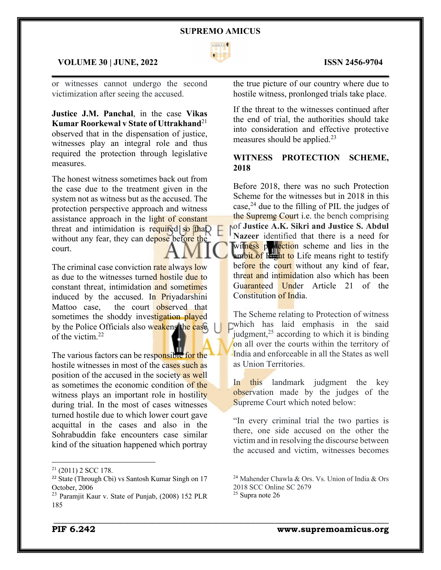

## **VOLUME 30 | JUNE, 2022 ISSN 2456-9704**

or witnesses cannot undergo the second victimization after seeing the accused.

**Justice J.M. Panchal**, in the case **Vikas Kumar Roorkewal v State of Uttrakhand**<sup>21</sup> observed that in the dispensation of justice, witnesses play an integral role and thus required the protection through legislative measures.

The honest witness sometimes back out from the case due to the treatment given in the system not as witness but as the accused. The protection perspective approach and witness assistance approach in the light of constant threat and intimidation is required so  $\text{tha}$ without any fear, they can depose before the court.

The criminal case conviction rate always low as due to the witnesses turned hostile due to constant threat, intimidation and sometimes induced by the accused. In Priyadarshini Mattoo case, the court observed that sometimes the shoddy investigation played by the Police Officials also weakens the case of the victim.22

The various factors can be responsible for the hostile witnesses in most of the cases such as position of the accused in the society as well as sometimes the economic condition of the witness plays an important role in hostility during trial. In the most of cases witnesses turned hostile due to which lower court gave acquittal in the cases and also in the Sohrabuddin fake encounters case similar kind of the situation happened which portray

 $\mathcal{L}_\mathcal{L} = \mathcal{L}_\mathcal{L} = \mathcal{L}_\mathcal{L} = \mathcal{L}_\mathcal{L} = \mathcal{L}_\mathcal{L} = \mathcal{L}_\mathcal{L} = \mathcal{L}_\mathcal{L} = \mathcal{L}_\mathcal{L} = \mathcal{L}_\mathcal{L} = \mathcal{L}_\mathcal{L} = \mathcal{L}_\mathcal{L} = \mathcal{L}_\mathcal{L} = \mathcal{L}_\mathcal{L} = \mathcal{L}_\mathcal{L} = \mathcal{L}_\mathcal{L} = \mathcal{L}_\mathcal{L} = \mathcal{L}_\mathcal{L}$ 

the true picture of our country where due to hostile witness, pronlonged trials take place.

If the threat to the witnesses continued after the end of trial, the authorities should take into consideration and effective protective measures should be applied.<sup>23</sup>

# **WITNESS PROTECTION SCHEME, 2018**

Before 2018, there was no such Protection Scheme for the witnesses but in 2018 in this case, $24$  due to the filling of PIL the judges of the Supreme Court i.e. the bench comprising of **Justice A.K. Sikri and Justice S. Abdul Nazeer** identified that there is a need for witness postection scheme and lies in the ambit of Right to Life means right to testify before the court without any kind of fear, threat and intimidation also which has been Guaranteed Under Article 21 of the Constitution of India.

The Scheme relating to Protection of witness which has laid emphasis in the said judgment, $^{25}$  according to which it is binding on all over the courts within the territory of India and enforceable in all the States as well as Union Territories.

In this landmark judgment the key observation made by the judges of the Supreme Court which noted below:

"In every criminal trial the two parties is there, one side accused on the other the victim and in resolving the discourse between the accused and victim, witnesses becomes

\_\_\_\_\_\_\_\_\_\_\_\_\_\_\_\_\_\_\_\_\_\_\_\_\_\_\_\_\_\_\_\_\_\_\_\_\_\_\_\_\_\_\_\_\_\_\_\_\_\_\_\_\_\_\_\_\_\_\_\_\_\_\_\_\_\_\_\_\_\_\_\_\_\_\_\_\_\_\_\_\_\_\_\_\_

 $21$  (2011) 2 SCC 178.

<sup>&</sup>lt;sup>22</sup> State (Through Cbi) vs Santosh Kumar Singh on 17 October, 2006

<sup>23</sup> Paramjit Kaur v. State of Punjab, (2008) 152 PLR 185

<sup>&</sup>lt;sup>24</sup> Mahender Chawla & Ors. Vs. Union of India & Ors 2018 SCC Online SC 2679

 $25$  Supra note 26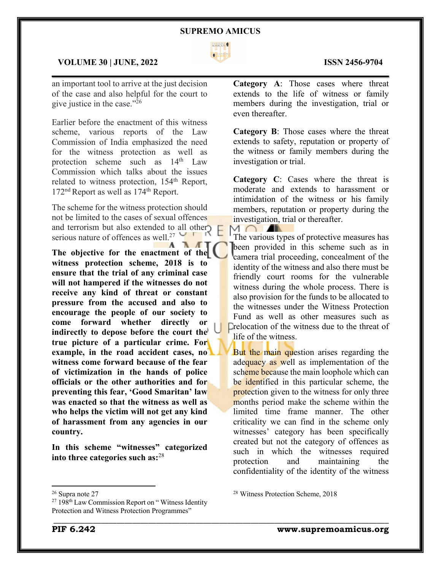

 $\mathcal{L}_\mathcal{L} = \mathcal{L}_\mathcal{L} = \mathcal{L}_\mathcal{L} = \mathcal{L}_\mathcal{L} = \mathcal{L}_\mathcal{L} = \mathcal{L}_\mathcal{L} = \mathcal{L}_\mathcal{L} = \mathcal{L}_\mathcal{L} = \mathcal{L}_\mathcal{L} = \mathcal{L}_\mathcal{L} = \mathcal{L}_\mathcal{L} = \mathcal{L}_\mathcal{L} = \mathcal{L}_\mathcal{L} = \mathcal{L}_\mathcal{L} = \mathcal{L}_\mathcal{L} = \mathcal{L}_\mathcal{L} = \mathcal{L}_\mathcal{L}$ 

 $\cap$ 

\_\_\_\_\_\_\_\_\_\_\_\_\_\_\_\_\_\_\_\_\_\_\_\_\_\_\_\_\_\_\_\_\_\_\_\_\_\_\_\_\_\_\_\_\_\_\_\_\_\_\_\_\_\_\_\_\_\_\_\_\_\_\_\_\_\_\_\_\_\_\_\_\_\_\_\_\_\_\_\_\_\_\_\_\_

### **VOLUME 30 | JUNE, 2022 ISSN 2456-9704**

an important tool to arrive at the just decision of the case and also helpful for the court to give justice in the case."26

Earlier before the enactment of this witness scheme, various reports of the Law Commission of India emphasized the need for the witness protection as well as protection scheme such as  $14<sup>th</sup>$  Law Commission which talks about the issues related to witness protection, 154<sup>th</sup> Report, 172<sup>nd</sup> Report as well as 174<sup>th</sup> Report.

The scheme for the witness protection should not be limited to the cases of sexual offences and terrorism but also extended to all other serious nature of offences as well.<sup>27</sup>

The objective for the enactment of the **witness protection scheme, 2018 is to ensure that the trial of any criminal case will not hampered if the witnesses do not receive any kind of threat or constant pressure from the accused and also to encourage the people of our society to come forward whether directly or indirectly to depose before the court the true picture of a particular crime. For example, in the road accident cases, no witness come forward because of the fear of victimization in the hands of police officials or the other authorities and for preventing this fear, 'Good Smaritan' law was enacted so that the witness as well as who helps the victim will not get any kind of harassment from any agencies in our country.**

**In this scheme "witnesses" categorized into three categories such as:**<sup>28</sup>

**Category A**: Those cases where threat extends to the life of witness or family members during the investigation, trial or even thereafter.

**Category B**: Those cases where the threat extends to safety, reputation or property of the witness or family members during the investigation or trial.

**Category C**: Cases where the threat is moderate and extends to harassment or intimidation of the witness or his family members, reputation or property during the investigation, trial or thereafter.

The various types of protective measures has been provided in this scheme such as in camera trial proceeding, concealment of the identity of the witness and also there must be friendly court rooms for the vulnerable witness during the whole process. There is also provision for the funds to be allocated to the witnesses under the Witness Protection Fund as well as other measures such as Drelocation of the witness due to the threat of life of the witness.

But the main question arises regarding the adequacy as well as implementation of the scheme because the main loophole which can be identified in this particular scheme, the protection given to the witness for only three months period make the scheme within the limited time frame manner. The other criticality we can find in the scheme only witnesses' category has been specifically created but not the category of offences as such in which the witnesses required protection and maintaining the confidentiality of the identity of the witness

<sup>28</sup> Witness Protection Scheme, 2018

<sup>26</sup> Supra note 27

 $27198$ <sup>th</sup> Law Commission Report on "Witness Identity" Protection and Witness Protection Programmes"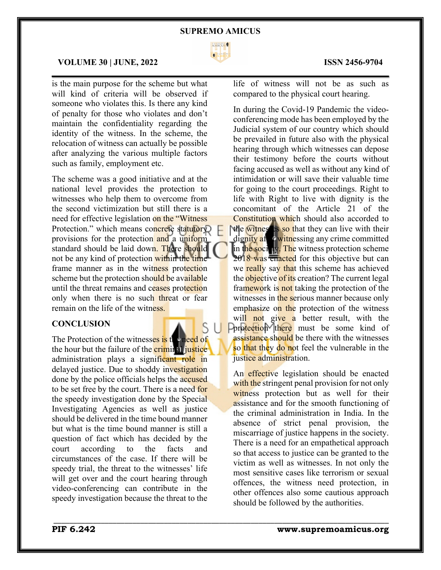

 $\mathcal{L}_\mathcal{L} = \mathcal{L}_\mathcal{L} = \mathcal{L}_\mathcal{L} = \mathcal{L}_\mathcal{L} = \mathcal{L}_\mathcal{L} = \mathcal{L}_\mathcal{L} = \mathcal{L}_\mathcal{L} = \mathcal{L}_\mathcal{L} = \mathcal{L}_\mathcal{L} = \mathcal{L}_\mathcal{L} = \mathcal{L}_\mathcal{L} = \mathcal{L}_\mathcal{L} = \mathcal{L}_\mathcal{L} = \mathcal{L}_\mathcal{L} = \mathcal{L}_\mathcal{L} = \mathcal{L}_\mathcal{L} = \mathcal{L}_\mathcal{L}$ 

\_\_\_\_\_\_\_\_\_\_\_\_\_\_\_\_\_\_\_\_\_\_\_\_\_\_\_\_\_\_\_\_\_\_\_\_\_\_\_\_\_\_\_\_\_\_\_\_\_\_\_\_\_\_\_\_\_\_\_\_\_\_\_\_\_\_\_\_\_\_\_\_\_\_\_\_\_\_\_\_\_\_\_\_\_

### **VOLUME 30 | JUNE, 2022 ISSN 2456-9704**

is the main purpose for the scheme but what will kind of criteria will be observed if someone who violates this. Is there any kind of penalty for those who violates and don't maintain the confidentiality regarding the identity of the witness. In the scheme, the relocation of witness can actually be possible after analyzing the various multiple factors such as family, employment etc.

The scheme was a good initiative and at the national level provides the protection to witnesses who help them to overcome from the second victimization but still there is a need for effective legislation on the "Witness Protection." which means concrete statutory provisions for the protection and a uniform standard should be laid down. There should not be any kind of protection within the time frame manner as in the witness protection scheme but the protection should be available until the threat remains and ceases protection only when there is no such threat or fear remain on the life of the witness.

# **CONCLUSION**

The Protection of the witnesses is the need of the hour but the failure of the **criminal justice** administration plays a significant role in delayed justice. Due to shoddy investigation done by the police officials helps the accused to be set free by the court. There is a need for the speedy investigation done by the Special Investigating Agencies as well as justice should be delivered in the time bound manner but what is the time bound manner is still a question of fact which has decided by the court according to the facts and circumstances of the case. If there will be speedy trial, the threat to the witnesses' life will get over and the court hearing through video-conferencing can contribute in the speedy investigation because the threat to the

life of witness will not be as such as compared to the physical court hearing.

In during the Covid-19 Pandemic the videoconferencing mode has been employed by the Judicial system of our country which should be prevailed in future also with the physical hearing through which witnesses can depose their testimony before the courts without facing accused as well as without any kind of intimidation or will save their valuable time for going to the court proceedings. Right to life with Right to live with dignity is the concomitant of the Article 21 of the Constitution which should also accorded to the witnesses so that they can live with their

dignity after witnessing any crime committed in the society. The witness protection scheme 2018 was enacted for this objective but can we really say that this scheme has achieved the objective of its creation? The current legal framework is not taking the protection of the witnesses in the serious manner because only emphasize on the protection of the witness will not give a better result, with the **Protection** there must be some kind of assistance should be there with the witnesses so that they do not feel the vulnerable in the justice administration.

An effective legislation should be enacted with the stringent penal provision for not only witness protection but as well for their assistance and for the smooth functioning of the criminal administration in India. In the absence of strict penal provision, the miscarriage of justice happens in the society. There is a need for an empathetical approach so that access to justice can be granted to the victim as well as witnesses. In not only the most sensitive cases like terrorism or sexual offences, the witness need protection, in other offences also some cautious approach should be followed by the authorities.